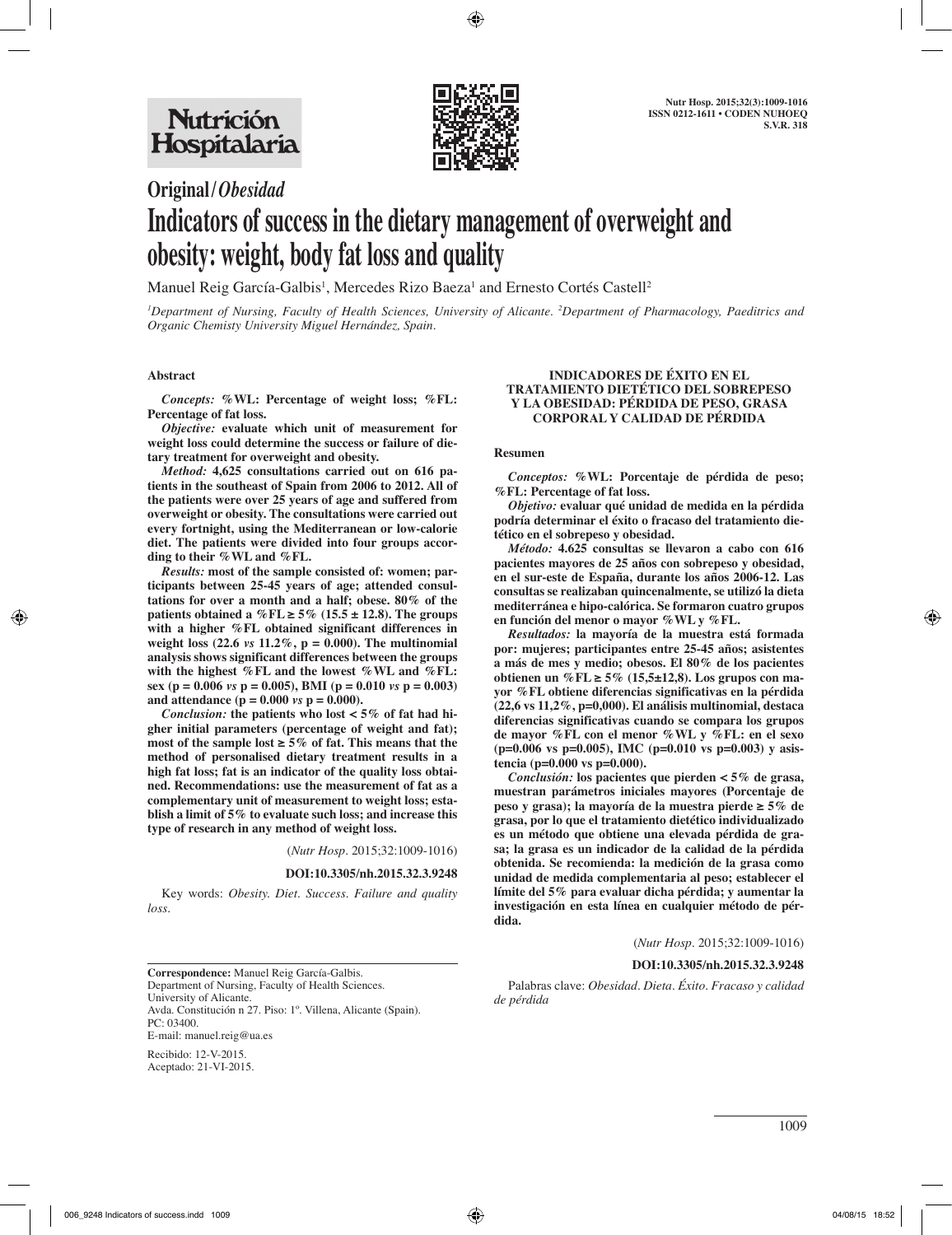

**Original/***Obesidad*

# **Indicators of success in the dietary management of overweight and obesity: weight, body fat loss and quality**

Manuel Reig García-Galbis<sup>1</sup>, Mercedes Rizo Baeza<sup>1</sup> and Ernesto Cortés Castell<sup>2</sup>

*1 Department of Nursing, Faculty of Health Sciences, University of Alicante. 2 Department of Pharmacology, Paeditrics and Organic Chemisty University Miguel Hernández, Spain.*

#### **Abstract**

*Concepts:* **%WL: Percentage of weight loss; %FL: Percentage of fat loss.** 

*Objective:* **evaluate which unit of measurement for weight loss could determine the success or failure of dietary treatment for overweight and obesity.** 

*Method:* **4,625 consultations carried out on 616 patients in the southeast of Spain from 2006 to 2012. All of the patients were over 25 years of age and suffered from overweight or obesity. The consultations were carried out every fortnight, using the Mediterranean or low-calorie diet. The patients were divided into four groups according to their %WL and %FL.** 

*Results:* **most of the sample consisted of: women; participants between 25-45 years of age; attended consultations for over a month and a half; obese. 80% of the**  patients obtained a % $FL \ge 5\%$  (15.5  $\pm$  12.8). The groups **with a higher %FL obtained significant differences in weight loss (22.6** *vs* **11.2%, p = 0.000). The multinomial analysis shows significant differences between the groups with the highest %FL and the lowest %WL and %FL: sex (p = 0.006** *vs* **p = 0.005), BMI (p = 0.010** *vs* **p = 0.003)**  and attendance ( $p = 0.000$  *vs*  $p = 0.000$ ).

*Conclusion:* **the patients who lost < 5% of fat had higher initial parameters (percentage of weight and fat);**  most of the sample lost  $\geq 5\%$  of fat. This means that the **method of personalised dietary treatment results in a high fat loss; fat is an indicator of the quality loss obtained. Recommendations: use the measurement of fat as a complementary unit of measurement to weight loss; establish a limit of 5% to evaluate such loss; and increase this type of research in any method of weight loss.**

(*Nutr Hosp.* 2015;32:1009-1016)

**DOI:10.3305/nh.2015.32.3.9248**

Key words: *Obesity. Diet. Success. Failure and quality loss.*

#### **INDICADORES DE ÉXITO EN EL TRATAMIENTO DIETÉTICO DEL SOBREPESO Y LA OBESIDAD: PÉRDIDA DE PESO, GRASA CORPORAL Y CALIDAD DE PÉRDIDA**

#### **Resumen**

*Conceptos:* **%WL: Porcentaje de pérdida de peso; %FL: Percentage of fat loss.** 

*Objetivo:* **evaluar qué unidad de medida en la pérdida podría determinar el éxito o fracaso del tratamiento dietético en el sobrepeso y obesidad.** 

*Método:* **4.625 consultas se llevaron a cabo con 616 pacientes mayores de 25 años con sobrepeso y obesidad, en el sur-este de España, durante los años 2006-12. Las consultas se realizaban quincenalmente, se utilizó la dieta mediterránea e hipo-calórica. Se formaron cuatro grupos en función del menor o mayor %WL y %FL.** 

*Resultados:* **la mayoría de la muestra está formada por: mujeres; participantes entre 25-45 años; asistentes a más de mes y medio; obesos. El 80% de los pacientes obtienen un %FL ≥ 5% (15,5±12,8). Los grupos con mayor %FL obtiene diferencias significativas en la pérdida (22,6 vs 11,2%, p=0,000). El análisis multinomial, destaca diferencias significativas cuando se compara los grupos de mayor %FL con el menor %WL y %FL: en el sexo (p=0.006 vs p=0.005), IMC (p=0.010 vs p=0.003) y asistencia (p=0.000 vs p=0.000).** 

*Conclusión:* **los pacientes que pierden < 5% de grasa, muestran parámetros iniciales mayores (Porcentaje de peso y grasa); la mayoría de la muestra pierde ≥ 5% de grasa, por lo que el tratamiento dietético individualizado es un método que obtiene una elevada pérdida de grasa; la grasa es un indicador de la calidad de la pérdida obtenida. Se recomienda: la medición de la grasa como unidad de medida complementaria al peso; establecer el límite del 5% para evaluar dicha pérdida; y aumentar la investigación en esta línea en cualquier método de pérdida.**

(*Nutr Hosp.* 2015;32:1009-1016)

#### **DOI:10.3305/nh.2015.32.3.9248**

Palabras clave: *Obesidad. Dieta. Éxito. Fracaso y calidad de pérdida*

**Correspondence:** Manuel Reig García-Galbis. Department of Nursing, Faculty of Health Sciences. University of Alicante. Avda. Constitución n 27. Piso: 1º. Villena, Alicante (Spain). PC: 03400. E-mail: manuel.reig@ua.es

Recibido: 12-V-2015. Aceptado: 21-VI-2015.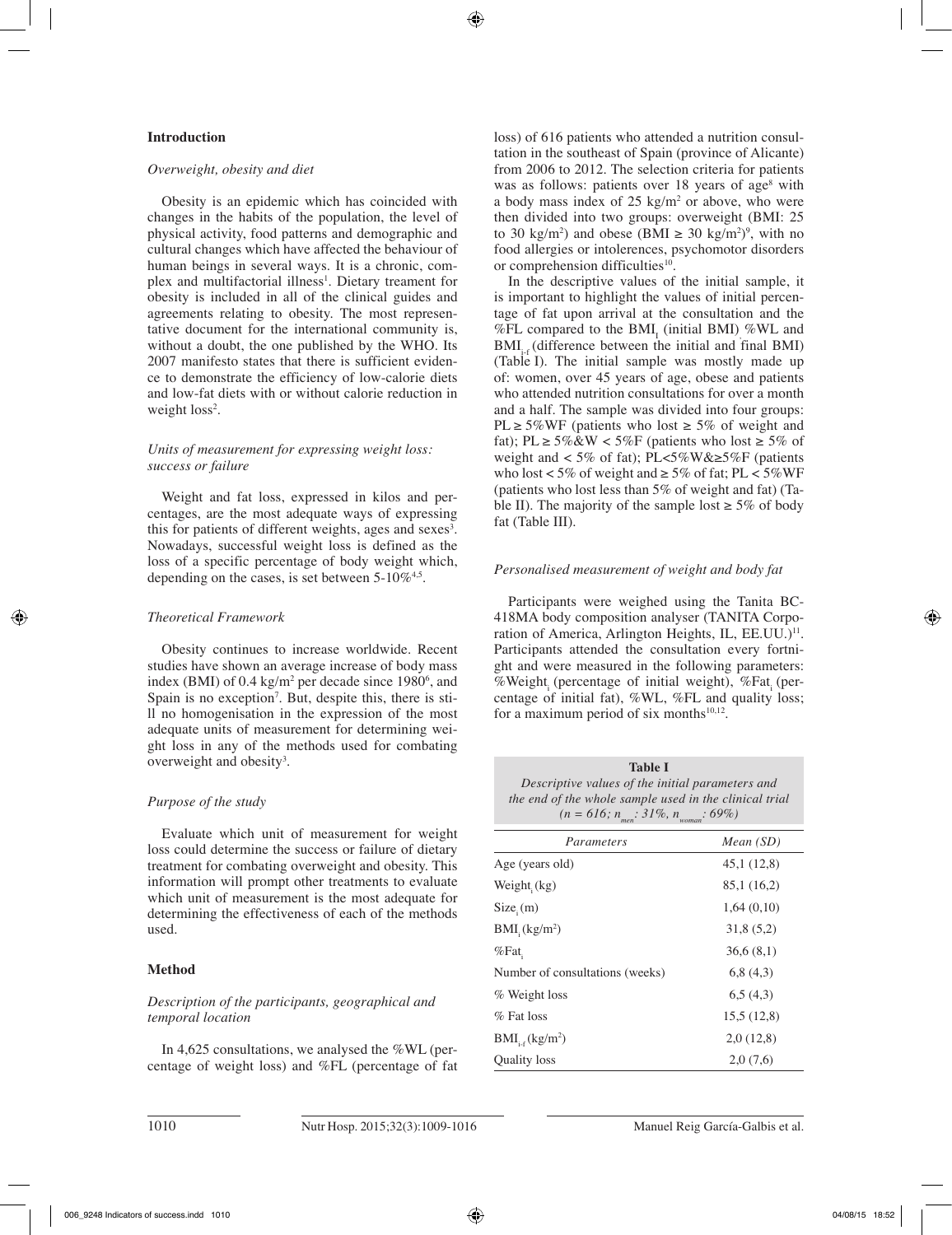## **Introduction**

#### *Overweight, obesity and diet*

Obesity is an epidemic which has coincided with changes in the habits of the population, the level of physical activity, food patterns and demographic and cultural changes which have affected the behaviour of human beings in several ways. It is a chronic, complex and multifactorial illness<sup>1</sup>. Dietary treament for obesity is included in all of the clinical guides and agreements relating to obesity. The most representative document for the international community is, without a doubt, the one published by the WHO. Its 2007 manifesto states that there is sufficient evidence to demonstrate the efficiency of low-calorie diets and low-fat diets with or without calorie reduction in weight loss<sup>2</sup>.

# *Units of measurement for expressing weight loss: success or failure*

Weight and fat loss, expressed in kilos and percentages, are the most adequate ways of expressing this for patients of different weights, ages and sexes<sup>3</sup>. Nowadays, successful weight loss is defined as the loss of a specific percentage of body weight which, depending on the cases, is set between  $5\text{-}10\%^{4,5}$ .

## *Theoretical Framework*

Obesity continues to increase worldwide. Recent studies have shown an average increase of body mass index (BMI) of  $0.4 \text{ kg/m}^2$  per decade since 1980<sup>6</sup>, and Spain is no exception<sup>7</sup>. But, despite this, there is still no homogenisation in the expression of the most adequate units of measurement for determining weight loss in any of the methods used for combating overweight and obesity<sup>3</sup>.

## *Purpose of the study*

Evaluate which unit of measurement for weight loss could determine the success or failure of dietary treatment for combating overweight and obesity. This information will prompt other treatments to evaluate which unit of measurement is the most adequate for determining the effectiveness of each of the methods used.

## **Method**

# *Description of the participants, geographical and temporal location*

In 4,625 consultations, we analysed the %WL (percentage of weight loss) and %FL (percentage of fat loss) of 616 patients who attended a nutrition consultation in the southeast of Spain (province of Alicante) from 2006 to 2012. The selection criteria for patients was as follows: patients over 18 years of age<sup>8</sup> with a body mass index of  $25 \text{ kg/m}^2$  or above, who were then divided into two groups: overweight (BMI: 25 to 30 kg/m<sup>2</sup>) and obese (BMI  $\geq$  30 kg/m<sup>2</sup>)<sup>9</sup>, with no food allergies or intolerences, psychomotor disorders or comprehension difficulties<sup>10</sup>.

In the descriptive values of the initial sample, it is important to highlight the values of initial percentage of fat upon arrival at the consultation and the  $%FL$  compared to the BMI<sub>I</sub> (initial BMI)  $% WL$  and BMI<sub>is</sub> (difference between the initial and final BMI) (Table I). The initial sample was mostly made up of: women, over 45 years of age, obese and patients who attended nutrition consultations for over a month and a half. The sample was divided into four groups: PL ≥ 5%WF (patients who lost ≥ 5% of weight and fat); PL  $\geq 5\% \& W < 5\%$  (patients who lost  $\geq 5\%$  of weight and  $\langle 5\% \text{ of fat} \rangle$ ; PL $\langle 5\% \text{W} \& \geq 5\% \text{F}$  (patients who lost < 5% of weight and  $\geq$  5% of fat; PL < 5% WF (patients who lost less than 5% of weight and fat) (Table II). The majority of the sample lost  $\geq 5\%$  of body fat (Table III).

## *Personalised measurement of weight and body fat*

Participants were weighed using the Tanita BC-418MA body composition analyser (TANITA Corporation of America, Arlington Heights, IL, EE.UU.)<sup>11</sup>. Participants attended the consultation every fortnight and were measured in the following parameters: %Weight (percentage of initial weight), %Fat (percentage of initial fat), %WL, %FL and quality loss; for a maximum period of six months $10,12$ .

**Table I** *Descriptive values of the initial parameters and the end of the whole sample used in the clinical trial*   $(n = 616; n_{max}: 31\%, n_{max}: 69\%)$ 

| Parameters                       | Mean(SD)    |
|----------------------------------|-------------|
| Age (years old)                  | 45,1 (12,8) |
| Weight $(kg)$                    | 85,1 (16,2) |
| Size <sub>i</sub> (m)            | 1,64(0,10)  |
| $BMI$ <sub>i</sub> $(kg/m2)$     | 31,8(5,2)   |
| $%$ Fat                          | 36,6(8,1)   |
| Number of consultations (weeks)  | 6,8(4,3)    |
| % Weight loss                    | 6,5(4,3)    |
| $%$ Fat loss                     | 15.5(12.8)  |
| $BMI_{i.f}$ (kg/m <sup>2</sup> ) | 2,0(12,8)   |
| <b>Ouality</b> loss              | 2,0(7,6)    |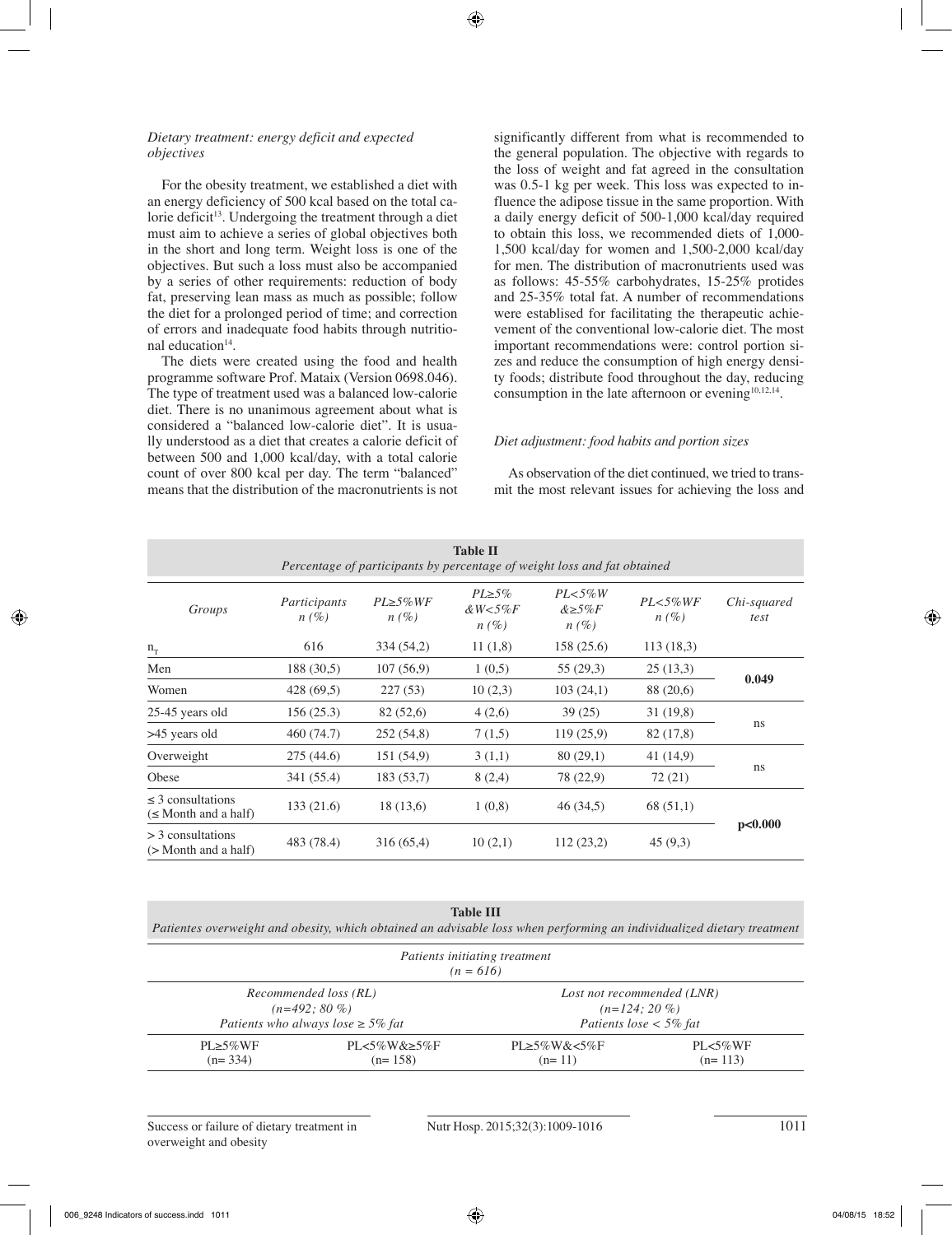## *Dietary treatment: energy deficit and expected objectives*

For the obesity treatment, we established a diet with an energy deficiency of 500 kcal based on the total calorie deficit<sup>13</sup>. Undergoing the treatment through a diet must aim to achieve a series of global objectives both in the short and long term. Weight loss is one of the objectives. But such a loss must also be accompanied by a series of other requirements: reduction of body fat, preserving lean mass as much as possible; follow the diet for a prolonged period of time; and correction of errors and inadequate food habits through nutritional education<sup>14</sup>.

The diets were created using the food and health programme software Prof. Mataix (Version 0698.046). The type of treatment used was a balanced low-calorie diet. There is no unanimous agreement about what is considered a "balanced low-calorie diet". It is usually understood as a diet that creates a calorie deficit of between 500 and 1,000 kcal/day, with a total calorie count of over 800 kcal per day. The term "balanced" means that the distribution of the macronutrients is not significantly different from what is recommended to the general population. The objective with regards to the loss of weight and fat agreed in the consultation was 0.5-1 kg per week. This loss was expected to influence the adipose tissue in the same proportion. With a daily energy deficit of 500-1,000 kcal/day required to obtain this loss, we recommended diets of 1,000- 1,500 kcal/day for women and 1,500-2,000 kcal/day for men. The distribution of macronutrients used was as follows: 45-55% carbohydrates, 15-25% protides and 25-35% total fat. A number of recommendations were establised for facilitating the therapeutic achievement of the conventional low-calorie diet. The most important recommendations were: control portion sizes and reduce the consumption of high energy density foods; distribute food throughout the day, reducing consumption in the late afternoon or evening<sup>10,12,14</sup>.

## *Diet adjustment: food habits and portion sizes*

As observation of the diet continued, we tried to transmit the most relevant issues for achieving the loss and

| <b>Table II</b><br>Percentage of participants by percentage of weight loss and fat obtained |                         |                             |                                            |                                        |                          |                     |
|---------------------------------------------------------------------------------------------|-------------------------|-----------------------------|--------------------------------------------|----------------------------------------|--------------------------|---------------------|
| Groups                                                                                      | Participants<br>$n(\%)$ | $PL \geq 5\% WF$<br>$n(\%)$ | $PL \geq 5\%$<br>$\& W < 5\% F$<br>$n(\%)$ | $PL < 5\%W$<br>$&\geq 5\%F$<br>$n(\%)$ | $PL < 5\% WF$<br>$n(\%)$ | Chi-squared<br>test |
| $n_T$                                                                                       | 616                     | 334 (54,2)                  | 11(1,8)                                    | 158(25.6)                              | 113(18,3)                |                     |
| Men                                                                                         | 188 (30,5)              | 107(56,9)                   | 1(0,5)                                     | 55 (29,3)                              | 25(13,3)                 | 0.049               |
| Women                                                                                       | 428 (69,5)              | 227(53)                     | 10(2,3)                                    | 103(24,1)                              | 88 (20,6)                |                     |
| 25-45 years old                                                                             | 156(25.3)               | 82 (52,6)                   | 4(2,6)                                     | 39 (25)                                | 31(19,8)                 |                     |
| >45 years old                                                                               | 460 (74.7)              | 252 (54,8)                  | 7(1,5)                                     | 119(25,9)                              | 82 (17,8)                | ns                  |
| Overweight                                                                                  | 275 (44.6)              | 151 (54,9)                  | 3(1,1)                                     | 80(29,1)                               | 41 (14,9)                |                     |
| Obese                                                                                       | 341 (55.4)              | 183(53,7)                   | 8(2,4)                                     | 78 (22,9)                              | 72 (21)                  | ns                  |
| $\leq$ 3 consultations<br>$(\leq M$ onth and a half)                                        | 133(21.6)               | 18(13,6)                    | 1(0,8)                                     | 46 (34,5)                              | 68 (51,1)                |                     |
| $>$ 3 consultations<br>$($ > Month and a half)                                              | 483 (78.4)              | 316(65,4)                   | 10(2,1)                                    | 112(23,2)                              | 45(9,3)                  | p<0.000             |

# **Table III**

*Patientes overweight and obesity, which obtained an advisable loss when performing an individualized dietary treatment*

| Patients initiating treatment<br>$(n = 616)$ |                                                                                   |                                    |                                                                          |  |
|----------------------------------------------|-----------------------------------------------------------------------------------|------------------------------------|--------------------------------------------------------------------------|--|
|                                              | Recommended loss (RL)<br>$(n=492:80\%)$<br>Patients who always lose $\geq$ 5% fat |                                    | Lost not recommended (LNR)<br>$(n=124:20\%)$<br>Patients lose $<$ 5% fat |  |
| $PI \geq 5\% WF$<br>$(n=334)$                | $PL < 5\%$ W& $\geq 5\%$ F<br>$(n=158)$                                           | $PL \geq 5\%$ W& < 5%F<br>$(n=11)$ | $PL < 5\%$ WF<br>$(n=113)$                                               |  |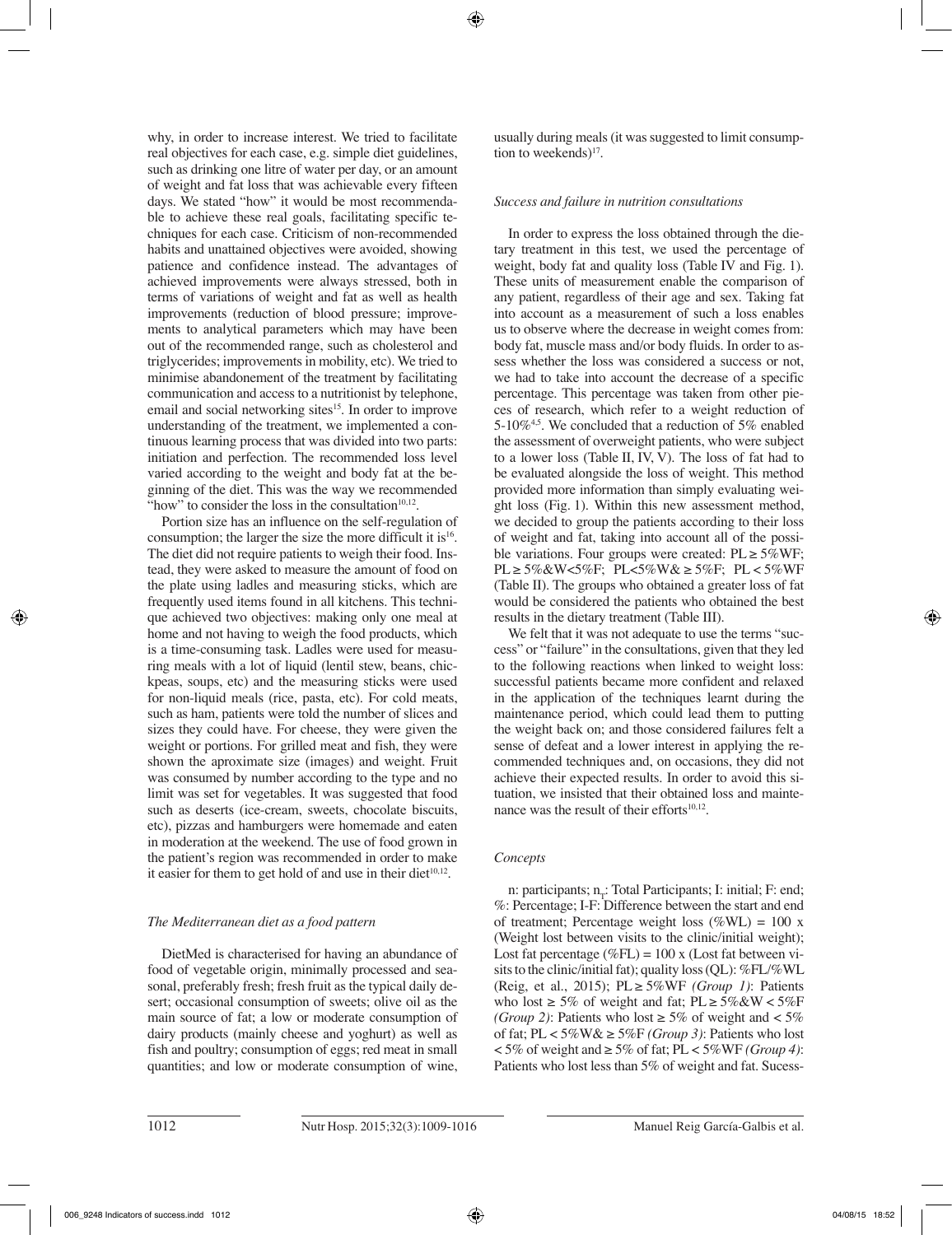why, in order to increase interest. We tried to facilitate real objectives for each case, e.g. simple diet guidelines, such as drinking one litre of water per day, or an amount of weight and fat loss that was achievable every fifteen days. We stated "how" it would be most recommendable to achieve these real goals, facilitating specific techniques for each case. Criticism of non-recommended habits and unattained objectives were avoided, showing patience and confidence instead. The advantages of achieved improvements were always stressed, both in terms of variations of weight and fat as well as health improvements (reduction of blood pressure; improvements to analytical parameters which may have been out of the recommended range, such as cholesterol and triglycerides; improvements in mobility, etc). We tried to minimise abandonement of the treatment by facilitating communication and access to a nutritionist by telephone, email and social networking sites<sup>15</sup>. In order to improve understanding of the treatment, we implemented a continuous learning process that was divided into two parts: initiation and perfection. The recommended loss level varied according to the weight and body fat at the beginning of the diet. This was the way we recommended "how" to consider the loss in the consultation $10,12$ .

Portion size has an influence on the self-regulation of consumption; the larger the size the more difficult it is  $16$ . The diet did not require patients to weigh their food. Instead, they were asked to measure the amount of food on the plate using ladles and measuring sticks, which are frequently used items found in all kitchens. This technique achieved two objectives: making only one meal at home and not having to weigh the food products, which is a time-consuming task. Ladles were used for measuring meals with a lot of liquid (lentil stew, beans, chickpeas, soups, etc) and the measuring sticks were used for non-liquid meals (rice, pasta, etc). For cold meats, such as ham, patients were told the number of slices and sizes they could have. For cheese, they were given the weight or portions. For grilled meat and fish, they were shown the aproximate size (images) and weight. Fruit was consumed by number according to the type and no limit was set for vegetables. It was suggested that food such as deserts (ice-cream, sweets, chocolate biscuits, etc), pizzas and hamburgers were homemade and eaten in moderation at the weekend. The use of food grown in the patient's region was recommended in order to make it easier for them to get hold of and use in their diet $10,12$ .

# *The Mediterranean diet as a food pattern*

DietMed is characterised for having an abundance of food of vegetable origin, minimally processed and seasonal, preferably fresh; fresh fruit as the typical daily desert; occasional consumption of sweets; olive oil as the main source of fat; a low or moderate consumption of dairy products (mainly cheese and yoghurt) as well as fish and poultry; consumption of eggs; red meat in small quantities; and low or moderate consumption of wine, usually during meals (it was suggested to limit consumption to weekends)<sup>17</sup>.

# *Success and failure in nutrition consultations*

In order to express the loss obtained through the dietary treatment in this test, we used the percentage of weight, body fat and quality loss (Table IV and Fig. 1). These units of measurement enable the comparison of any patient, regardless of their age and sex. Taking fat into account as a measurement of such a loss enables us to observe where the decrease in weight comes from: body fat, muscle mass and/or body fluids. In order to assess whether the loss was considered a success or not, we had to take into account the decrease of a specific percentage. This percentage was taken from other pieces of research, which refer to a weight reduction of 5-10%<sup>4,5</sup>. We concluded that a reduction of 5% enabled the assessment of overweight patients, who were subject to a lower loss (Table II, IV, V). The loss of fat had to be evaluated alongside the loss of weight. This method provided more information than simply evaluating weight loss (Fig. 1). Within this new assessment method, we decided to group the patients according to their loss of weight and fat, taking into account all of the possible variations. Four groups were created:  $PL \ge 5\%$ WF; PL ≥ 5%&W<5%F; PL<5%W& ≥ 5%F; PL < 5%WF (Table II). The groups who obtained a greater loss of fat would be considered the patients who obtained the best results in the dietary treatment (Table III).

We felt that it was not adequate to use the terms "success" or "failure" in the consultations, given that they led to the following reactions when linked to weight loss: successful patients became more confident and relaxed in the application of the techniques learnt during the maintenance period, which could lead them to putting the weight back on; and those considered failures felt a sense of defeat and a lower interest in applying the recommended techniques and, on occasions, they did not achieve their expected results. In order to avoid this situation, we insisted that their obtained loss and maintenance was the result of their efforts $10,12$ .

# *Concepts*

n: participants;  $n_T$ : Total Participants; I: initial; F: end; %: Percentage; I-F: Difference between the start and end of treatment; Percentage weight loss (%WL) = 100 x (Weight lost between visits to the clinic/initial weight); Lost fat percentage (%FL) =  $100 \times$  (Lost fat between visits to the clinic/initial fat); quality loss (QL): %FL/%WL (Reig, et al., 2015); PL ≥ 5%WF *(Group 1)*: Patients who lost  $\geq 5\%$  of weight and fat; PL  $\geq 5\%$ &W < 5%F *(Group 2)*: Patients who lost  $\geq 5\%$  of weight and  $\lt 5\%$ of fat;  $PL < 5\%$ W $\& \geq 5\%$ F *(Group 3)*: Patients who lost < 5% of weight and ≥ 5% of fat; PL < 5%WF *(Group 4)*: Patients who lost less than 5% of weight and fat. Sucess-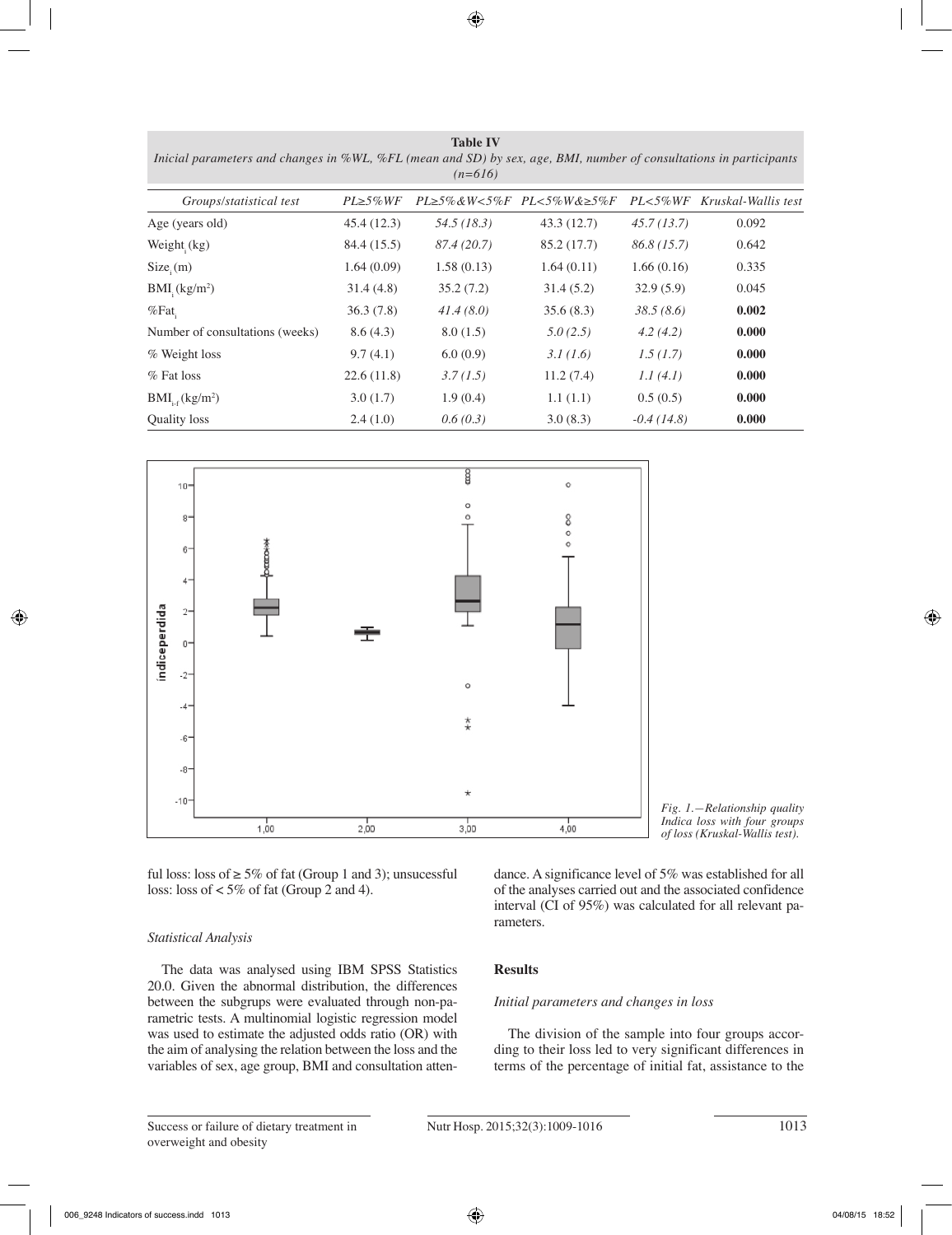**Table IV** *Inicial parameters and changes in %WL, %FL (mean and SD) by sex, age, BMI, number of consultations in participants (n=616)*

| Groups/statistical test          | $PL \geq 5\% WF$ |             | $PL \geq 5\%$ &W<5%F PL<5%W&≥5%F | $PL < 5\% WF$ | Kruskal-Wallis test |
|----------------------------------|------------------|-------------|----------------------------------|---------------|---------------------|
| Age (years old)                  | 45.4(12.3)       | 54.5 (18.3) | 43.3 (12.7)                      | 45.7(13.7)    | 0.092               |
| Weight $(kg)$                    | 84.4 (15.5)      | 87.4 (20.7) | 85.2 (17.7)                      | 86.8(15.7)    | 0.642               |
| $Size_i(m)$                      | 1.64(0.09)       | 1.58(0.13)  | 1.64(0.11)                       | 1.66(0.16)    | 0.335               |
| $BMI_{i}$ (kg/m <sup>2</sup> )   | 31.4(4.8)        | 35.2(7.2)   | 31.4(5.2)                        | 32.9(5.9)     | 0.045               |
| $%$ Fat                          | 36.3(7.8)        | 41.4(8.0)   | 35.6(8.3)                        | 38.5(8.6)     | 0.002               |
| Number of consultations (weeks)  | 8.6(4.3)         | 8.0(1.5)    | 5.0(2.5)                         | 4.2(4.2)      | 0.000               |
| % Weight loss                    | 9.7(4.1)         | 6.0(0.9)    | 3.1(1.6)                         | 1.5(1.7)      | 0.000               |
| $%$ Fat loss                     | 22.6(11.8)       | 3.7(1.5)    | 11.2(7.4)                        | 1.1(4.1)      | 0.000               |
| $BMI_{i.f}$ (kg/m <sup>2</sup> ) | 3.0(1.7)         | 1.9(0.4)    | 1.1(1.1)                         | 0.5(0.5)      | 0.000               |
| Quality loss                     | 2.4(1.0)         | 0.6(0.3)    | 3.0(8.3)                         | $-0.4(14.8)$  | 0.000               |



ful loss: loss of  $\geq$  5% of fat (Group 1 and 3); unsucessful loss: loss of < 5% of fat (Group 2 and 4).

## *Statistical Analysis*

The data was analysed using IBM SPSS Statistics 20.0. Given the abnormal distribution, the differences between the subgrups were evaluated through non-parametric tests. A multinomial logistic regression model was used to estimate the adjusted odds ratio (OR) with the aim of analysing the relation between the loss and the variables of sex, age group, BMI and consultation atten*Fig. 1.—Relationship quality Indica loss with four groups of loss (Kruskal-Wallis test).* 

dance. A significance level of 5% was established for all of the analyses carried out and the associated confidence interval (CI of 95%) was calculated for all relevant parameters.

## **Results**

#### *Initial parameters and changes in loss*

The division of the sample into four groups according to their loss led to very significant differences in terms of the percentage of initial fat, assistance to the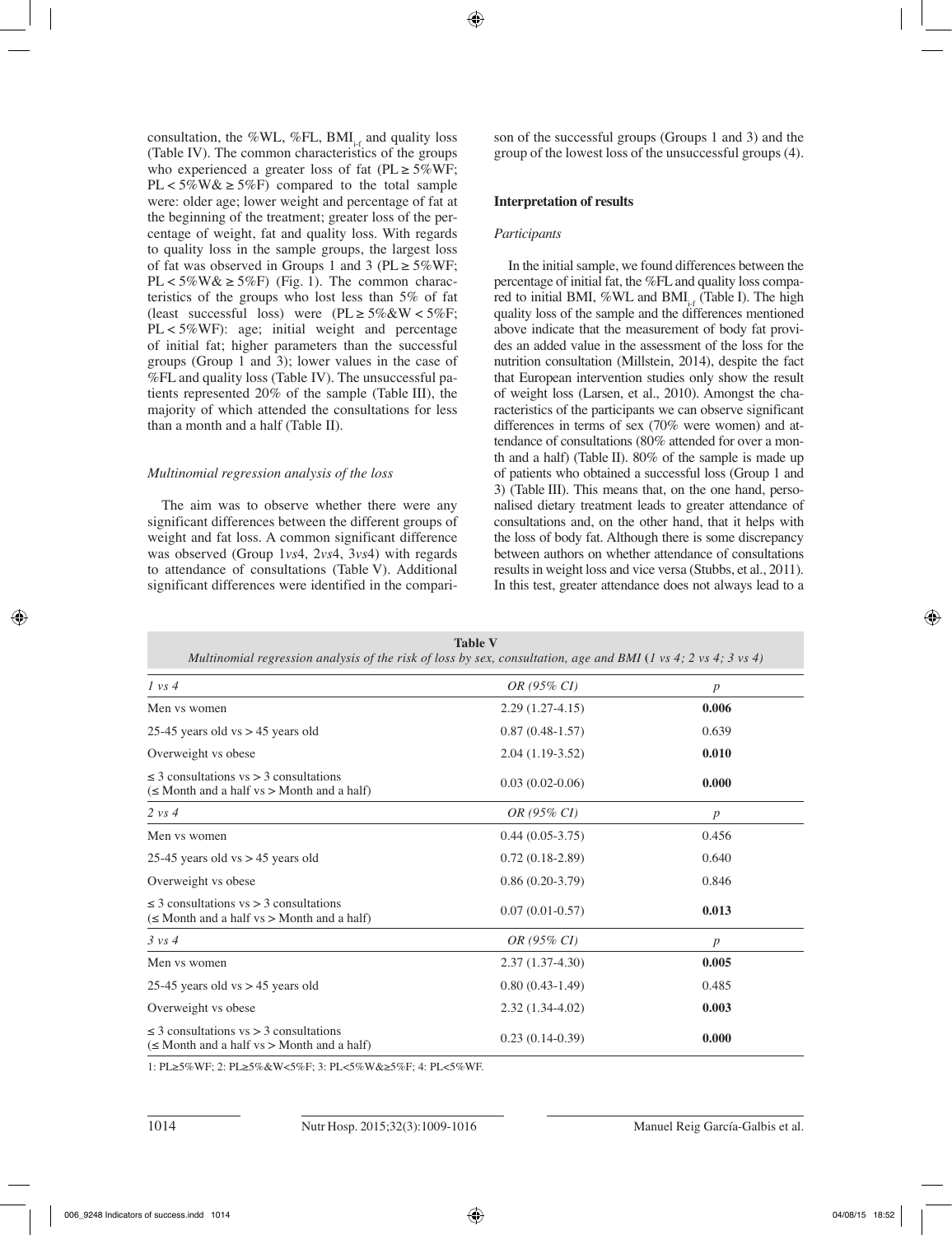consultation, the %WL, %FL, BMI $_{i}$  and quality loss (Table IV). The common characteristics of the groups who experienced a greater loss of fat ( $PL \ge 5\%$ WF; PL <  $5\%$ W &  $\geq 5\%$ F) compared to the total sample were: older age; lower weight and percentage of fat at the beginning of the treatment; greater loss of the percentage of weight, fat and quality loss. With regards to quality loss in the sample groups, the largest loss of fat was observed in Groups 1 and 3 ( $PL \ge 5\%$ WF;  $PL < 5\%$ W&  $\geq 5\%$ F) (Fig. 1). The common characteristics of the groups who lost less than 5% of fat (least successful loss) were  $(PL \ge 5\% \& W < 5\% F;$ PL < 5%WF): age; initial weight and percentage of initial fat; higher parameters than the successful groups (Group 1 and 3); lower values in the case of %FL and quality loss (Table IV). The unsuccessful patients represented 20% of the sample (Table III), the majority of which attended the consultations for less than a month and a half (Table II).

## *Multinomial regression analysis of the loss*

The aim was to observe whether there were any significant differences between the different groups of weight and fat loss. A common significant difference was observed (Group 1*vs*4, 2*vs*4, 3*vs*4) with regards to attendance of consultations (Table V). Additional significant differences were identified in the comparison of the successful groups (Groups 1 and 3) and the group of the lowest loss of the unsuccessful groups (4).

## **Interpretation of results**

### *Participants*

In the initial sample, we found differences between the percentage of initial fat, the %FL and quality loss compared to initial BMI, %WL and BMI $_{i}$  (Table I). The high quality loss of the sample and the differences mentioned above indicate that the measurement of body fat provides an added value in the assessment of the loss for the nutrition consultation (Millstein, 2014), despite the fact that European intervention studies only show the result of weight loss (Larsen, et al., 2010). Amongst the characteristics of the participants we can observe significant differences in terms of sex (70% were women) and attendance of consultations (80% attended for over a month and a half) (Table II). 80% of the sample is made up of patients who obtained a successful loss (Group 1 and 3) (Table III). This means that, on the one hand, personalised dietary treatment leads to greater attendance of consultations and, on the other hand, that it helps with the loss of body fat. Although there is some discrepancy between authors on whether attendance of consultations results in weight loss and vice versa (Stubbs, et al., 2011). In this test, greater attendance does not always lead to a

| <b>Table V</b><br>Multinomial regression analysis of the risk of loss by sex, consultation, age and BMI (1 vs 4; 2 vs 4; 3 vs 4) |                   |                  |  |
|----------------------------------------------------------------------------------------------------------------------------------|-------------------|------------------|--|
| 1 vs 4                                                                                                                           | OR (95% CI)       | $\boldsymbol{p}$ |  |
| Men vs women                                                                                                                     | $2.29(1.27-4.15)$ | 0.006            |  |
| 25-45 years old vs $> 45$ years old                                                                                              | $0.87(0.48-1.57)$ | 0.639            |  |
| Overweight vs obese                                                                                                              | $2.04(1.19-3.52)$ | 0.010            |  |
| $\leq$ 3 consultations vs $>$ 3 consultations<br>$(\leq \text{Month} \text{ and a half vs } > \text{Month} \text{ and a half})$  | $0.03(0.02-0.06)$ | 0.000            |  |
| $2 \text{ vs } 4$                                                                                                                | OR (95% CI)       | $\boldsymbol{p}$ |  |
| Men vs women                                                                                                                     | $0.44(0.05-3.75)$ | 0.456            |  |
| 25-45 years old vs $> 45$ years old                                                                                              | $0.72(0.18-2.89)$ | 0.640            |  |
| Overweight vs obese                                                                                                              | $0.86(0.20-3.79)$ | 0.846            |  |
| $\leq$ 3 consultations vs > 3 consultations<br>$(\leq$ Month and a half vs > Month and a half)                                   | $0.07(0.01-0.57)$ | 0.013            |  |
| $3 \text{ vs } 4$                                                                                                                | OR (95% CI)       | $\boldsymbol{p}$ |  |
| Men vs women                                                                                                                     | $2.37(1.37-4.30)$ | 0.005            |  |
| 25-45 years old vs $> 45$ years old                                                                                              | $0.80(0.43-1.49)$ | 0.485            |  |
| Overweight vs obese                                                                                                              | $2.32(1.34-4.02)$ | 0.003            |  |
| $\leq$ 3 consultations vs $>$ 3 consultations<br>$(\leq \text{Month} \text{ and a half vs } > \text{Month} \text{ and a half})$  | $0.23(0.14-0.39)$ | 0.000            |  |

1: PL≥5%WF; 2: PL≥5%&W<5%F; 3: PL<5%W&≥5%F; 4: PL<5%WF.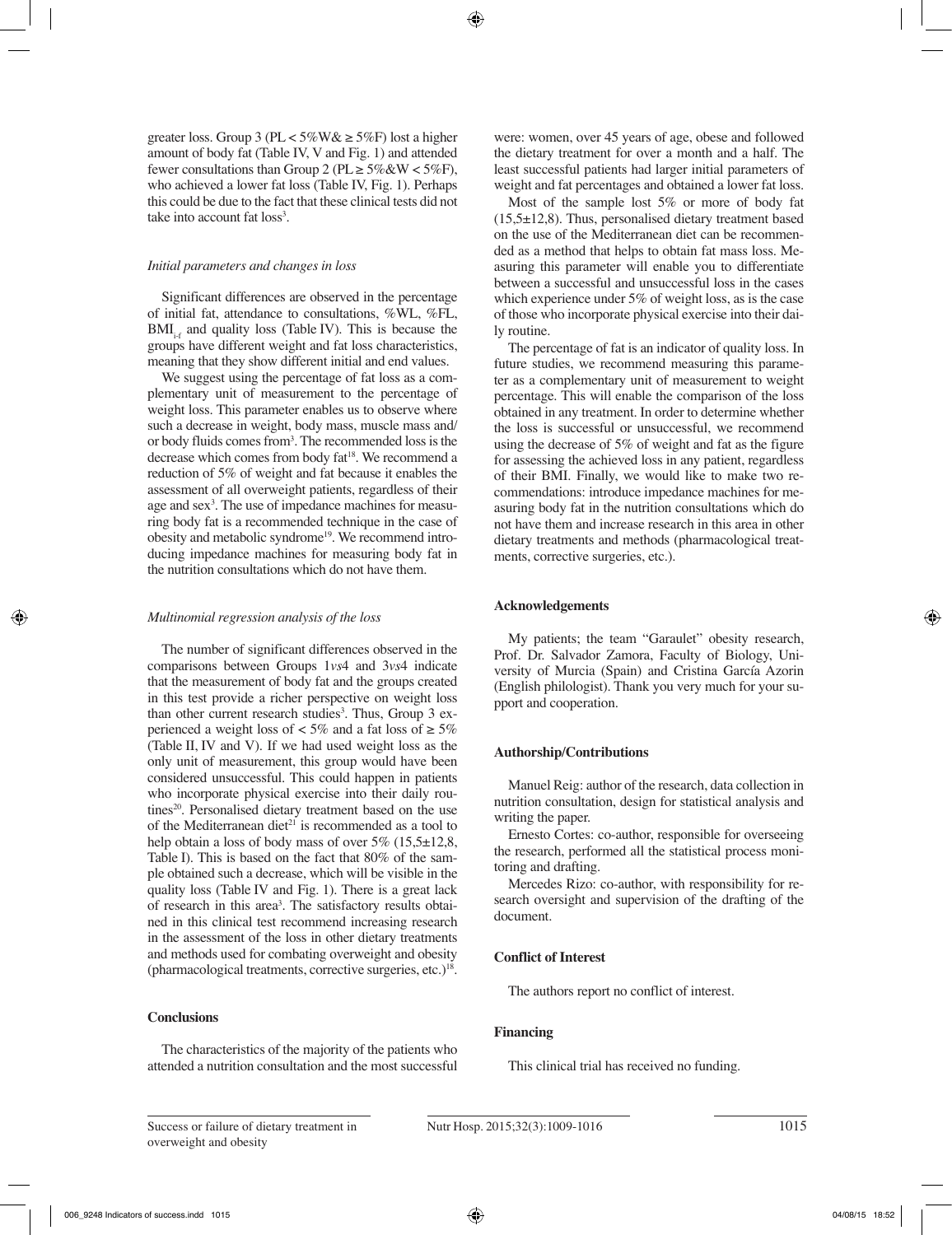greater loss. Group 3 (PL <  $5\%$ W &  $\geq 5\%$ F) lost a higher amount of body fat (Table IV, V and Fig. 1) and attended fewer consultations than Group 2 ( $PL \ge 5\%$  & W < 5%F), who achieved a lower fat loss (Table IV, Fig. 1). Perhaps this could be due to the fact that these clinical tests did not take into account fat loss<sup>3</sup>.

### *Initial parameters and changes in loss*

Significant differences are observed in the percentage of initial fat, attendance to consultations, %WL, %FL,  $BMI_{i,f}$  and quality loss (Table IV). This is because the groups have different weight and fat loss characteristics, meaning that they show different initial and end values.

We suggest using the percentage of fat loss as a complementary unit of measurement to the percentage of weight loss. This parameter enables us to observe where such a decrease in weight, body mass, muscle mass and/ or body fluids comes from3 . The recommended loss is the decrease which comes from body fat<sup>18</sup>. We recommend a reduction of 5% of weight and fat because it enables the assessment of all overweight patients, regardless of their age and sex<sup>3</sup>. The use of impedance machines for measuring body fat is a recommended technique in the case of obesity and metabolic syndrome<sup>19</sup>. We recommend introducing impedance machines for measuring body fat in the nutrition consultations which do not have them.

### *Multinomial regression analysis of the loss*

The number of significant differences observed in the comparisons between Groups 1*vs*4 and 3*vs*4 indicate that the measurement of body fat and the groups created in this test provide a richer perspective on weight loss than other current research studies<sup>3</sup>. Thus, Group 3 experienced a weight loss of  $\lt$  5% and a fat loss of  $\geq$  5% (Table II, IV and V). If we had used weight loss as the only unit of measurement, this group would have been considered unsuccessful. This could happen in patients who incorporate physical exercise into their daily routines<sup>20</sup>. Personalised dietary treatment based on the use of the Mediterranean diet<sup>21</sup> is recommended as a tool to help obtain a loss of body mass of over  $5\%$  (15,5 $\pm$ 12,8, Table I). This is based on the fact that 80% of the sample obtained such a decrease, which will be visible in the quality loss (Table IV and Fig. 1). There is a great lack of research in this area<sup>3</sup>. The satisfactory results obtained in this clinical test recommend increasing research in the assessment of the loss in other dietary treatments and methods used for combating overweight and obesity (pharmacological treatments, corrective surgeries, etc.) $18$ .

## **Conclusions**

The characteristics of the majority of the patients who attended a nutrition consultation and the most successful were: women, over 45 years of age, obese and followed the dietary treatment for over a month and a half. The least successful patients had larger initial parameters of weight and fat percentages and obtained a lower fat loss.

Most of the sample lost 5% or more of body fat  $(15.5\pm12.8)$ . Thus, personalised dietary treatment based on the use of the Mediterranean diet can be recommended as a method that helps to obtain fat mass loss. Measuring this parameter will enable you to differentiate between a successful and unsuccessful loss in the cases which experience under 5% of weight loss, as is the case of those who incorporate physical exercise into their daily routine.

The percentage of fat is an indicator of quality loss. In future studies, we recommend measuring this parameter as a complementary unit of measurement to weight percentage. This will enable the comparison of the loss obtained in any treatment. In order to determine whether the loss is successful or unsuccessful, we recommend using the decrease of 5% of weight and fat as the figure for assessing the achieved loss in any patient, regardless of their BMI. Finally, we would like to make two recommendations: introduce impedance machines for measuring body fat in the nutrition consultations which do not have them and increase research in this area in other dietary treatments and methods (pharmacological treatments, corrective surgeries, etc.).

## **Acknowledgements**

My patients; the team "Garaulet" obesity research, Prof. Dr. Salvador Zamora, Faculty of Biology, University of Murcia (Spain) and Cristina García Azorin (English philologist). Thank you very much for your support and cooperation.

## **Authorship/Contributions**

Manuel Reig: author of the research, data collection in nutrition consultation, design for statistical analysis and writing the paper.

Ernesto Cortes: co-author, responsible for overseeing the research, performed all the statistical process monitoring and drafting.

Mercedes Rizo: co-author, with responsibility for research oversight and supervision of the drafting of the document.

# **Conflict of Interest**

The authors report no conflict of interest.

## **Financing**

This clinical trial has received no funding.